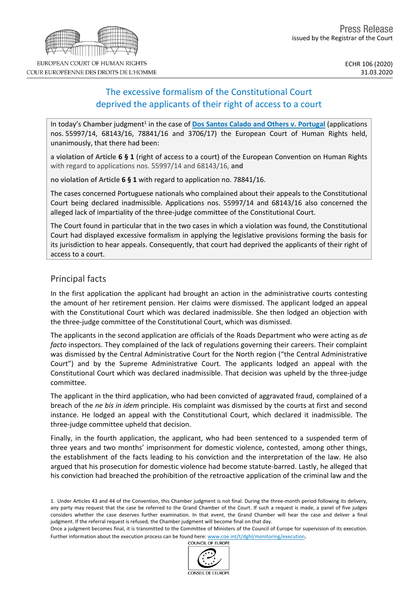# The excessive formalism of the Constitutional Court deprived the applicants of their right of access to a court

In today's Chamber judgment<sup>1</sup> in the case of **Dos Santos Calado and Others v. [Portugal](http://hudoc.echr.coe.int/eng?i=001-202123)** (applications nos. 55997/14, 68143/16, 78841/16 and 3706/17) the European Court of Human Rights held, unanimously, that there had been:

**a violation of Article 6 § 1** (right of access to a court) of the European Convention on Human Rights with regard to applications nos. 55997/14 and 68143/16, **and**

**no violation of Article 6 § 1** with regard to application no. 78841/16.

The cases concerned Portuguese nationals who complained about their appeals to the Constitutional Court being declared inadmissible. Applications nos. 55997/14 and 68143/16 also concerned the alleged lack of impartiality of the three-judge committee of the Constitutional Court.

The Court found in particular that in the two cases in which a violation was found, the Constitutional Court had displayed excessive formalism in applying the legislative provisions forming the basis for its jurisdiction to hear appeals. Consequently, that court had deprived the applicants of their right of access to a court.

# Principal facts

In the first application the applicant had brought an action in the administrative courts contesting the amount of her retirement pension. Her claims were dismissed. The applicant lodged an appeal with the Constitutional Court which was declared inadmissible. She then lodged an objection with the three-judge committee of the Constitutional Court, which was dismissed.

The applicants in the second application are officials of the Roads Department who were acting as *de facto* inspectors. They complained of the lack of regulations governing their careers. Their complaint was dismissed by the Central Administrative Court for the North region ("the Central Administrative Court") and by the Supreme Administrative Court. The applicants lodged an appeal with the Constitutional Court which was declared inadmissible. That decision was upheld by the three-judge committee.

The applicant in the third application, who had been convicted of aggravated fraud, complained of a breach of the *ne bis in idem* principle. His complaint was dismissed by the courts at first and second instance. He lodged an appeal with the Constitutional Court, which declared it inadmissible. The three-judge committee upheld that decision.

Finally, in the fourth application, the applicant, who had been sentenced to a suspended term of three years and two months' imprisonment for domestic violence, contested, among other things, the establishment of the facts leading to his conviction and the interpretation of the law. He also argued that his prosecution for domestic violence had become statute-barred. Lastly, he alleged that his conviction had breached the prohibition of the retroactive application of the criminal law and the

1. Under Articles 43 and 44 of the Convention, this Chamber judgment is not final. During the three-month period following its delivery, any party may request that the case be referred to the Grand Chamber of the Court. If such a request is made, a panel of five judges considers whether the case deserves further examination. In that event, the Grand Chamber will hear the case and deliver a final judgment. If the referral request is refused, the Chamber judgment will become final on that day.

Once a judgment becomes final, it is transmitted to the Committee of Ministers of the Council of Europe for supervision of its execution. Further information about the execution process can be found here: [www.coe.int/t/dghl/monitoring/execution](http://www.coe.int/t/dghl/monitoring/execution).<br>COUNCIL OF FUROPE



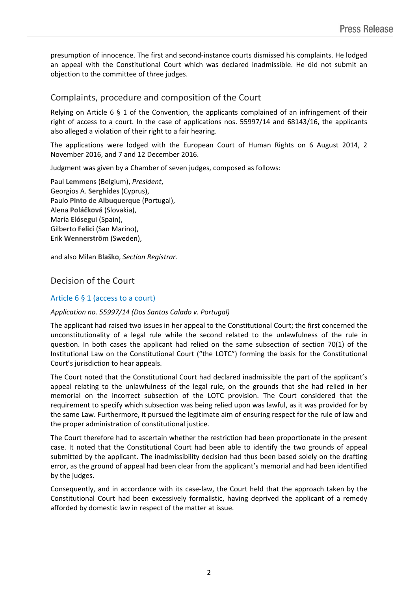presumption of innocence. The first and second-instance courts dismissed his complaints. He lodged an appeal with the Constitutional Court which was declared inadmissible. He did not submit an objection to the committee of three judges.

# Complaints, procedure and composition of the Court

Relying on Article 6 § 1 of the Convention, the applicants complained of an infringement of their right of access to a court. In the case of applications nos. 55997/14 and 68143/16, the applicants also alleged a violation of their right to a fair hearing.

The applications were lodged with the European Court of Human Rights on 6 August 2014, 2 November 2016, and 7 and 12 December 2016.

Judgment was given by a Chamber of seven judges, composed as follows:

Paul **Lemmens** (Belgium), *President*, Georgios A. **Serghides** (Cyprus), Paulo **Pinto de Albuquerque** (Portugal), Alena **Poláčková** (Slovakia), María **Elósegui** (Spain), Gilberto **Felici** (San Marino), Erik **Wennerström** (Sweden),

and also Milan **Blaško**, *Section Registrar.*

## Decision of the Court

### Article 6 § 1 (access to a court)

### *Application no. 55997/14 (Dos Santos Calado v. Portugal)*

The applicant had raised two issues in her appeal to the Constitutional Court; the first concerned the unconstitutionality of a legal rule while the second related to the unlawfulness of the rule in question. In both cases the applicant had relied on the same subsection of section 70(1) of the Institutional Law on the Constitutional Court ("the LOTC") forming the basis for the Constitutional Court's jurisdiction to hear appeals.

The Court noted that the Constitutional Court had declared inadmissible the part of the applicant's appeal relating to the unlawfulness of the legal rule, on the grounds that she had relied in her memorial on the incorrect subsection of the LOTC provision. The Court considered that the requirement to specify which subsection was being relied upon was lawful, as it was provided for by the same Law. Furthermore, it pursued the legitimate aim of ensuring respect for the rule of law and the proper administration of constitutional justice.

The Court therefore had to ascertain whether the restriction had been proportionate in the present case. It noted that the Constitutional Court had been able to identify the two grounds of appeal submitted by the applicant. The inadmissibility decision had thus been based solely on the drafting error, as the ground of appeal had been clear from the applicant's memorial and had been identified by the judges.

Consequently, and in accordance with its case-law, the Court held that the approach taken by the Constitutional Court had been excessively formalistic, having deprived the applicant of a remedy afforded by domestic law in respect of the matter at issue.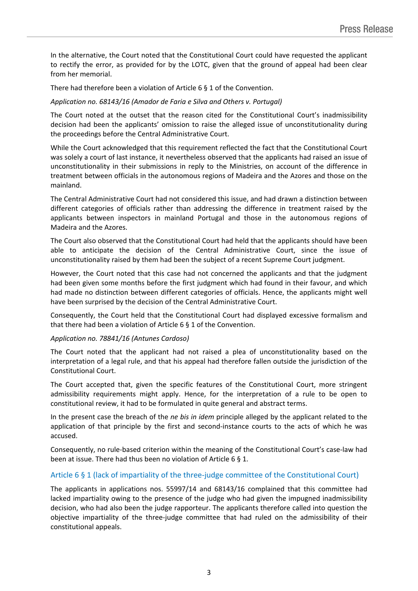In the alternative, the Court noted that the Constitutional Court could have requested the applicant to rectify the error, as provided for by the LOTC, given that the ground of appeal had been clear from her memorial.

There had therefore been a violation of Article 6 § 1 of the Convention.

#### *Application no. 68143/16 (Amador de Faria e Silva and Others v. Portugal)*

The Court noted at the outset that the reason cited for the Constitutional Court's inadmissibility decision had been the applicants' omission to raise the alleged issue of unconstitutionality during the proceedings before the Central Administrative Court.

While the Court acknowledged that this requirement reflected the fact that the Constitutional Court was solely a court of last instance, it nevertheless observed that the applicants had raised an issue of unconstitutionality in their submissions in reply to the Ministries, on account of the difference in treatment between officials in the autonomous regions of Madeira and the Azores and those on the mainland.

The Central Administrative Court had not considered this issue, and had drawn a distinction between different categories of officials rather than addressing the difference in treatment raised by the applicants between inspectors in mainland Portugal and those in the autonomous regions of Madeira and the Azores.

The Court also observed that the Constitutional Court had held that the applicants should have been able to anticipate the decision of the Central Administrative Court, since the issue of unconstitutionality raised by them had been the subject of a recent Supreme Court judgment.

However, the Court noted that this case had not concerned the applicants and that the judgment had been given some months before the first judgment which had found in their favour, and which had made no distinction between different categories of officials. Hence, the applicants might well have been surprised by the decision of the Central Administrative Court.

Consequently, the Court held that the Constitutional Court had displayed excessive formalism and that there had been a violation of Article 6 § 1 of the Convention.

#### *Application no. 78841/16 (Antunes Cardoso)*

The Court noted that the applicant had not raised a plea of unconstitutionality based on the interpretation of a legal rule, and that his appeal had therefore fallen outside the jurisdiction of the Constitutional Court.

The Court accepted that, given the specific features of the Constitutional Court, more stringent admissibility requirements might apply. Hence, for the interpretation of a rule to be open to constitutional review, it had to be formulated in quite general and abstract terms.

In the present case the breach of the *ne bis in idem* principle alleged by the applicant related to the application of that principle by the first and second-instance courts to the acts of which he was accused.

Consequently, no rule-based criterion within the meaning of the Constitutional Court's case-law had been at issue. There had thus been no violation of Article 6 § 1.

### Article 6 § 1 (lack of impartiality of the three-judge committee of the Constitutional Court)

The applicants in applications nos. 55997/14 and 68143/16 complained that this committee had lacked impartiality owing to the presence of the judge who had given the impugned inadmissibility decision, who had also been the judge rapporteur. The applicants therefore called into question the objective impartiality of the three-judge committee that had ruled on the admissibility of their constitutional appeals.